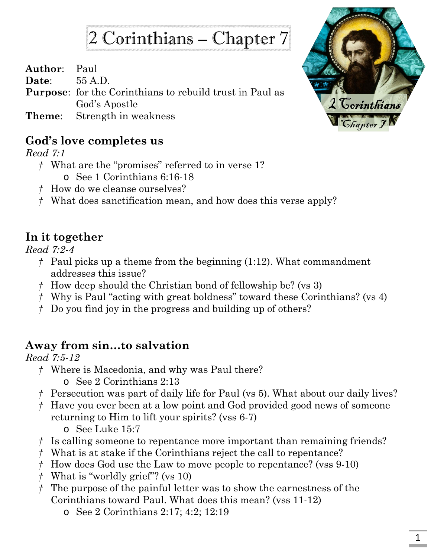# 2 Corinthians – Chapter 7

**Author**: Paul

**Date**: 55 A.D.

**Purpose**: for the Corinthians to rebuild trust in Paul as God's Apostle

**Theme**: Strength in weakness

#### **God's love completes us**

*Read 7:1*

- *†* What are the "promises" referred to in verse 1?
	- o See 1 Corinthians 6:16-18
- *†* How do we cleanse ourselves?
- *†* What does sanctification mean, and how does this verse apply?

### **In it together**

*Read 7:2-4*

- *†* Paul picks up a theme from the beginning (1:12). What commandment addresses this issue?
- *†* How deep should the Christian bond of fellowship be? (vs 3)
- *†* Why is Paul "acting with great boldness" toward these Corinthians? (vs 4)
- *†* Do you find joy in the progress and building up of others?

## **Away from sin…to salvation**

*Read 7:5-12*

- *†* Where is Macedonia, and why was Paul there?
	- o See 2 Corinthians 2:13
- *†* Persecution was part of daily life for Paul (vs 5). What about our daily lives?
- *†* Have you ever been at a low point and God provided good news of someone returning to Him to lift your spirits? (vss 6-7)
	- o See Luke 15:7
- *†* Is calling someone to repentance more important than remaining friends?
- *†* What is at stake if the Corinthians reject the call to repentance?
- *†* How does God use the Law to move people to repentance? (vss 9-10)
- *†* What is "worldly grief"? (vs 10)
- *†* The purpose of the painful letter was to show the earnestness of the Corinthians toward Paul. What does this mean? (vss 11-12)
	- o See 2 Corinthians 2:17; 4:2; 12:19